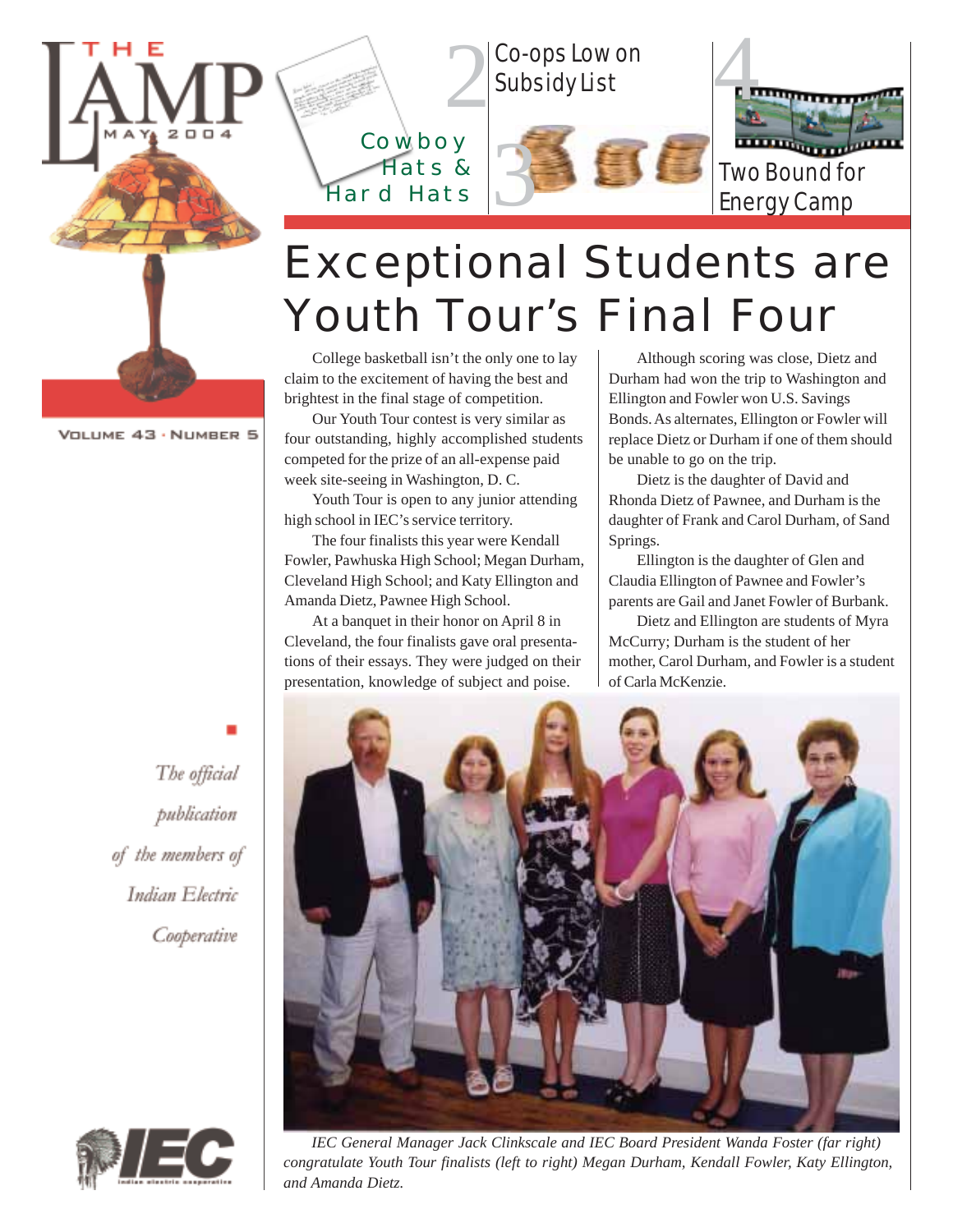



## Exceptional Students are Youth Tour's Final Four

College basketball isn't the only one to lay claim to the excitement of having the best and brightest in the final stage of competition.

Our Youth Tour contest is very similar as four outstanding, highly accomplished students competed for the prize of an all-expense paid week site-seeing in Washington, D. C.

Youth Tour is open to any junior attending high school in IEC's service territory.

The four finalists this year were Kendall Fowler, Pawhuska High School; Megan Durham, Cleveland High School; and Katy Ellington and Amanda Dietz, Pawnee High School.

At a banquet in their honor on April 8 in Cleveland, the four finalists gave oral presentations of their essays. They were judged on their presentation, knowledge of subject and poise.

Although scoring was close, Dietz and Durham had won the trip to Washington and Ellington and Fowler won U.S. Savings Bonds. As alternates, Ellington or Fowler will replace Dietz or Durham if one of them should be unable to go on the trip.

Dietz is the daughter of David and Rhonda Dietz of Pawnee, and Durham is the daughter of Frank and Carol Durham, of Sand Springs.

Ellington is the daughter of Glen and Claudia Ellington of Pawnee and Fowler's parents are Gail and Janet Fowler of Burbank.

Dietz and Ellington are students of Myra McCurry; Durham is the student of her mother, Carol Durham, and Fowler is a student of Carla McKenzie.

The official publication of the members of Indian Electric Cooperative



*IEC General Manager Jack Clinkscale and IEC Board President Wanda Foster (far right) congratulate Youth Tour finalists (left to right) Megan Durham, Kendall Fowler, Katy Ellington, and Amanda Dietz.*

VOLUME 43 · NUMBER 5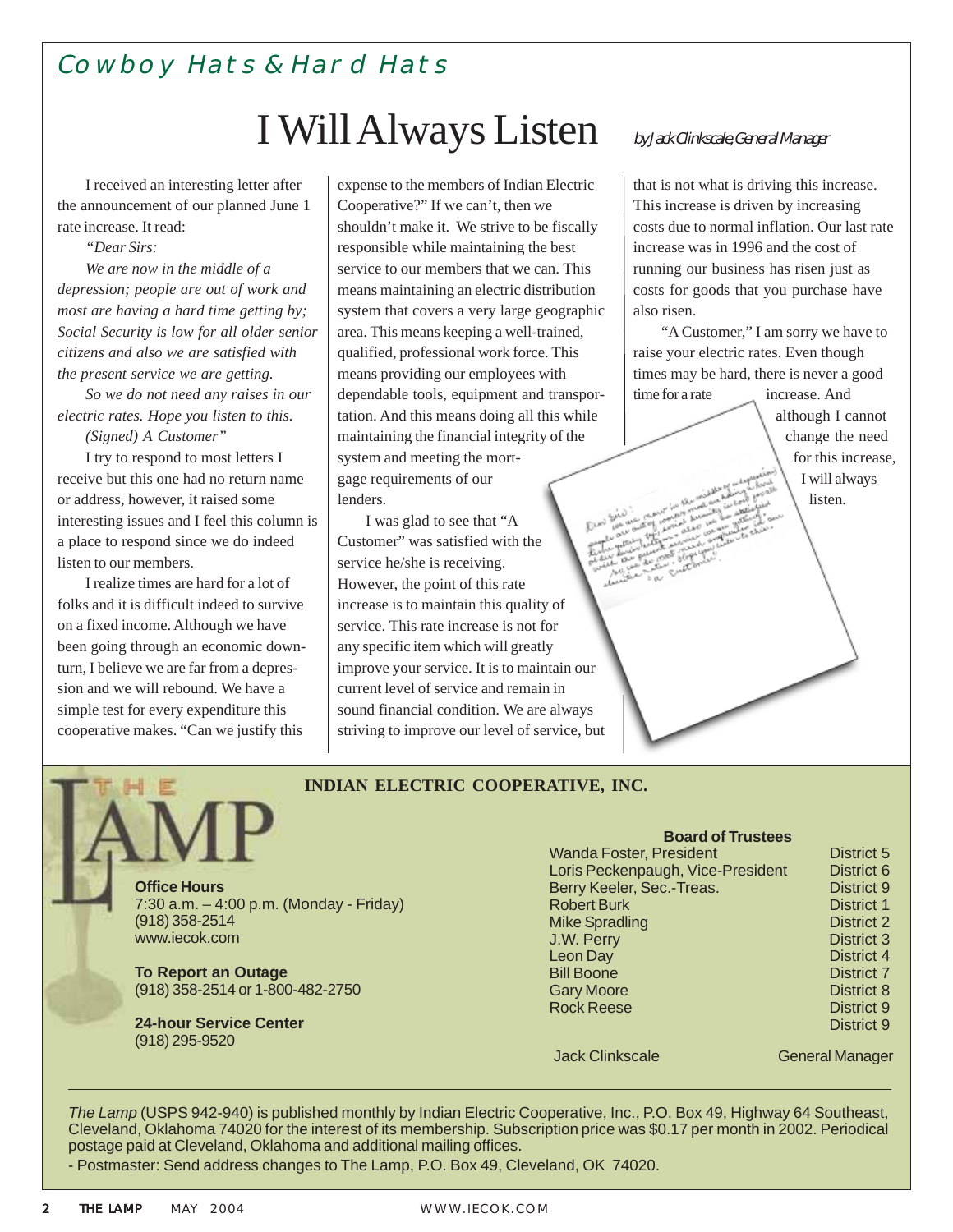### Cowboy Hats & Hard Hats

## I Will Always Listen

I received an interesting letter after the announcement of our planned June 1 rate increase. It read:

*"Dear Sirs:*

*We are now in the middle of a depression; people are out of work and most are having a hard time getting by; Social Security is low for all older senior citizens and also we are satisfied with the present service we are getting.*

*So we do not need any raises in our electric rates. Hope you listen to this.*

*(Signed) A Customer"*

I try to respond to most letters I receive but this one had no return name or address, however, it raised some interesting issues and I feel this column is a place to respond since we do indeed listen to our members.

I realize times are hard for a lot of folks and it is difficult indeed to survive on a fixed income. Although we have been going through an economic downturn, I believe we are far from a depression and we will rebound. We have a simple test for every expenditure this cooperative makes. "Can we justify this

expense to the members of Indian Electric Cooperative?" If we can't, then we shouldn't make it. We strive to be fiscally responsible while maintaining the best service to our members that we can. This means maintaining an electric distribution system that covers a very large geographic area. This means keeping a well-trained, qualified, professional work force. This means providing our employees with dependable tools, equipment and transportation. And this means doing all this while maintaining the financial integrity of the system and meeting the mortgage requirements of our lenders.

I was glad to see that "A Customer" was satisfied with the service he/she is receiving. However, the point of this rate increase is to maintain this quality of service. This rate increase is not for any specific item which will greatly improve your service. It is to maintain our current level of service and remain in sound financial condition. We are always striving to improve our level of service, but

### by Jack Clinkscale, General Manager

that is not what is driving this increase. This increase is driven by increasing costs due to normal inflation. Our last rate increase was in 1996 and the cost of running our business has risen just as costs for goods that you purchase have also risen.

"A Customer," I am sorry we have to raise your electric rates. Even though times may be hard, there is never a good time for a rate increase. And

although I cannot change the need for this increase, I will always listen.

#### **INDIAN ELECTRIC COOPERATIVE, INC.**

**Office Hours** 7:30 a.m. – 4:00 p.m. (Monday - Friday) (918) 358-2514 www.iecok.com

**To Report an Outage** (918) 358-2514 or 1-800-482-2750

**24-hour Service Center** (918) 295-9520

**Board of Trustees** Wanda Foster, President **District 5** Loris Peckenpaugh, Vice-President District 6 Berry Keeler, Sec.-Treas. District 9 Robert Burk District 1 Mike Spradling District 2 **J.W. Perry District 3** Leon Day District 4 Bill Boone District 7 Gary Moore **District 8** Rock Reese District 9 District 9

Jack Clinkscale General Manager

*The Lamp* (USPS 942-940) is published monthly by Indian Electric Cooperative, Inc., P.O. Box 49, Highway 64 Southeast, Cleveland, Oklahoma 74020 for the interest of its membership. Subscription price was \$0.17 per month in 2002. Periodical postage paid at Cleveland, Oklahoma and additional mailing offices.

- Postmaster: Send address changes to The Lamp, P.O. Box 49, Cleveland, OK 74020.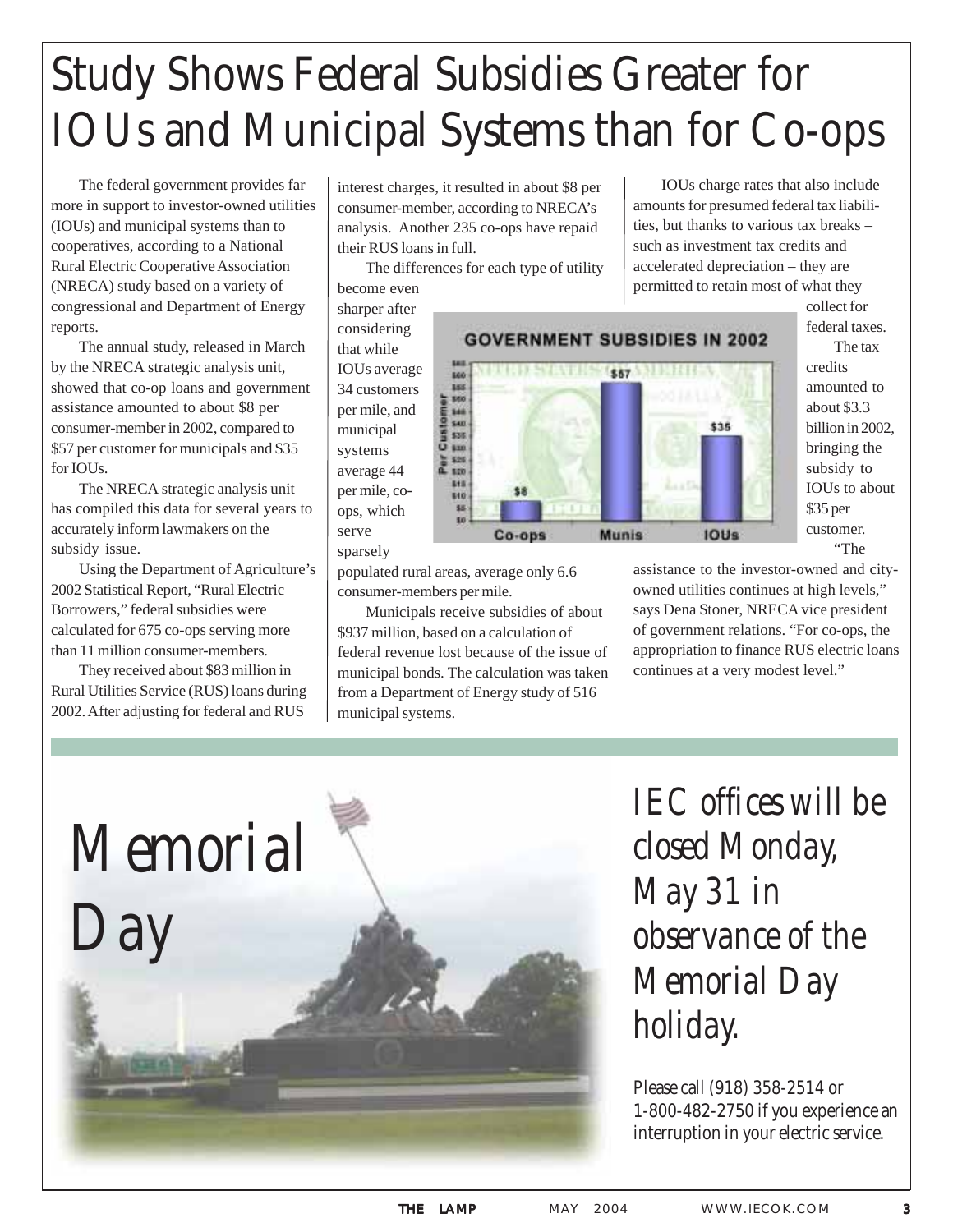# Study Shows Federal Subsidies Greater for IOUs and Municipal Systems than for Co-ops

The federal government provides far more in support to investor-owned utilities (IOUs) and municipal systems than to cooperatives, according to a National Rural Electric Cooperative Association (NRECA) study based on a variety of congressional and Department of Energy reports.

The annual study, released in March by the NRECA strategic analysis unit, showed that co-op loans and government assistance amounted to about \$8 per consumer-member in 2002, compared to \$57 per customer for municipals and \$35 for IOUs.

The NRECA strategic analysis unit has compiled this data for several years to accurately inform lawmakers on the subsidy issue.

Using the Department of Agriculture's 2002 Statistical Report, "Rural Electric Borrowers," federal subsidies were calculated for 675 co-ops serving more than 11 million consumer-members.

They received about \$83 million in Rural Utilities Service (RUS) loans during 2002. After adjusting for federal and RUS

interest charges, it resulted in about \$8 per consumer-member, according to NRECA's analysis. Another 235 co-ops have repaid their RUS loans in full.

The differences for each type of utility become even sharper after

that while

municipal systems average 44

ops, which serve sparsely

considering **GOVERNMENT SUBSIDIES IN 2002** IOUs average THE STATES (\$67 MILITIES) **BOO** 34 customers 188  $= 140$ per mile, and 346 \$40 \$35 Cus \$35.  $120$ 520 S15 per mile, co-810 \$5 Co-ops **Munis IOUs** 

IOUs charge rates that also include amounts for presumed federal tax liabilities, but thanks to various tax breaks – such as investment tax credits and accelerated depreciation – they are permitted to retain most of what they

> collect for federal taxes. The tax credits amounted to about \$3.3 billion in 2002, bringing the subsidy to IOUs to about \$35 per customer. "The



populated rural areas, average only 6.6 consumer-members per mile.

Municipals receive subsidies of about \$937 million, based on a calculation of federal revenue lost because of the issue of municipal bonds. The calculation was taken from a Department of Energy study of 516 municipal systems.

assistance to the investor-owned and cityowned utilities continues at high levels," says Dena Stoner, NRECA vice president of government relations. "For co-ops, the appropriation to finance RUS electric loans continues at a very modest level."



*IEC offices will be closed Monday, May 31 in observance of the Memorial Day holiday.*

Please call (918) 358-2514 or 1-800-482-2750 if you experience an interruption in your electric service.